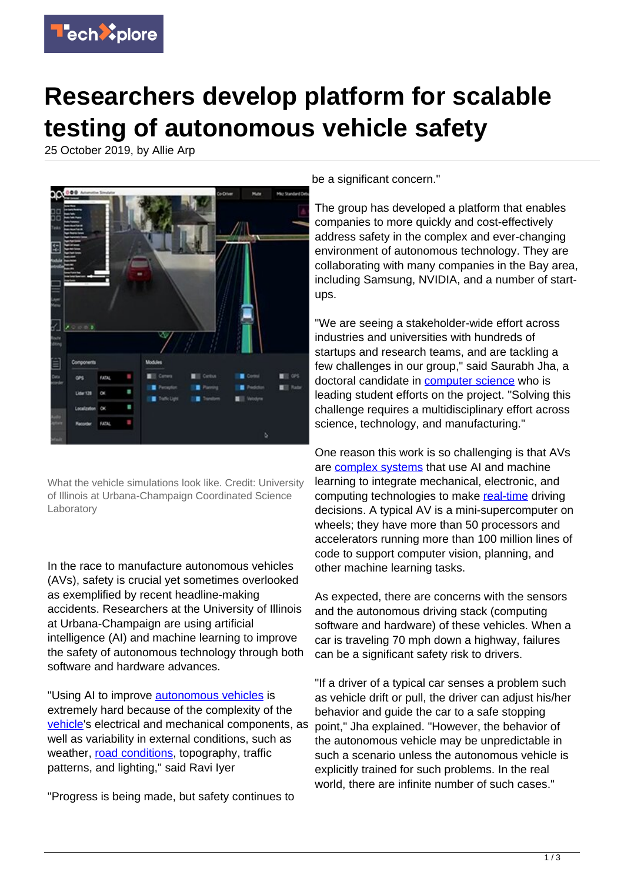

## **Researchers develop platform for scalable testing of autonomous vehicle safety**

25 October 2019, by Allie Arp



What the vehicle simulations look like. Credit: University of Illinois at Urbana-Champaign Coordinated Science Laboratory

In the race to manufacture autonomous vehicles (AVs), safety is crucial yet sometimes overlooked as exemplified by recent headline-making accidents. Researchers at the University of Illinois at Urbana-Champaign are using artificial intelligence (AI) and machine learning to improve the safety of autonomous technology through both software and hardware advances.

"Using AI to improve [autonomous vehicles](https://techxplore.com/tags/autonomous+vehicles/) is extremely hard because of the complexity of the [vehicle](https://techxplore.com/tags/vehicle/)'s electrical and mechanical components, as well as variability in external conditions, such as weather, [road conditions](https://techxplore.com/tags/road+conditions/), topography, traffic patterns, and lighting," said Ravi Iyer

"Progress is being made, but safety continues to

be a significant concern."

The group has developed a platform that enables companies to more quickly and cost-effectively address safety in the complex and ever-changing environment of autonomous technology. They are collaborating with many companies in the Bay area, including Samsung, NVIDIA, and a number of startups.

"We are seeing a stakeholder-wide effort across industries and universities with hundreds of startups and research teams, and are tackling a few challenges in our group," said Saurabh Jha, a doctoral candidate in [computer science](https://techxplore.com/tags/computer+science/) who is leading student efforts on the project. "Solving this challenge requires a multidisciplinary effort across science, technology, and manufacturing."

One reason this work is so challenging is that AVs are [complex systems](https://techxplore.com/tags/complex+systems/) that use AI and machine learning to integrate mechanical, electronic, and computing technologies to make [real-time](https://techxplore.com/tags/real-time/) driving decisions. A typical AV is a mini-supercomputer on wheels; they have more than 50 processors and accelerators running more than 100 million lines of code to support computer vision, planning, and other machine learning tasks.

As expected, there are concerns with the sensors and the autonomous driving stack (computing software and hardware) of these vehicles. When a car is traveling 70 mph down a highway, failures can be a significant safety risk to drivers.

"If a driver of a typical car senses a problem such as vehicle drift or pull, the driver can adjust his/her behavior and guide the car to a safe stopping point," Jha explained. "However, the behavior of the autonomous vehicle may be unpredictable in such a scenario unless the autonomous vehicle is explicitly trained for such problems. In the real world, there are infinite number of such cases."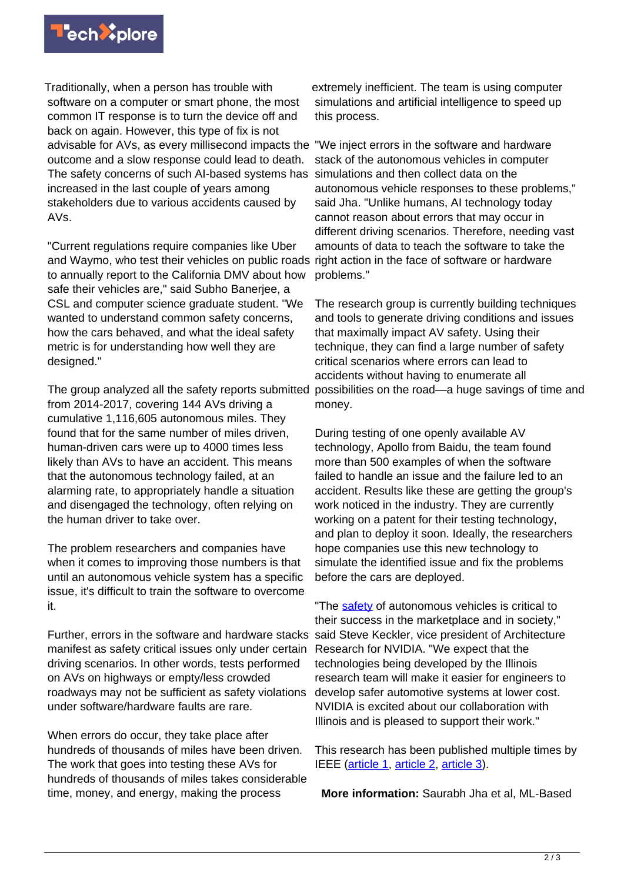

Traditionally, when a person has trouble with software on a computer or smart phone, the most common IT response is to turn the device off and back on again. However, this type of fix is not advisable for AVs, as every millisecond impacts the "We inject errors in the software and hardware outcome and a slow response could lead to death. The safety concerns of such AI-based systems has simulations and then collect data on the increased in the last couple of years among stakeholders due to various accidents caused by AVs.

"Current regulations require companies like Uber and Waymo, who test their vehicles on public roads right action in the face of software or hardware to annually report to the California DMV about how safe their vehicles are," said Subho Banerjee, a CSL and computer science graduate student. "We wanted to understand common safety concerns. how the cars behaved, and what the ideal safety metric is for understanding how well they are designed."

The group analyzed all the safety reports submitted from 2014-2017, covering 144 AVs driving a cumulative 1,116,605 autonomous miles. They found that for the same number of miles driven, human-driven cars were up to 4000 times less likely than AVs to have an accident. This means that the autonomous technology failed, at an alarming rate, to appropriately handle a situation and disengaged the technology, often relying on the human driver to take over.

The problem researchers and companies have when it comes to improving those numbers is that until an autonomous vehicle system has a specific issue, it's difficult to train the software to overcome it.

Further, errors in the software and hardware stacks manifest as safety critical issues only under certain driving scenarios. In other words, tests performed on AVs on highways or empty/less crowded roadways may not be sufficient as safety violations under software/hardware faults are rare.

When errors do occur, they take place after hundreds of thousands of miles have been driven. The work that goes into testing these AVs for hundreds of thousands of miles takes considerable time, money, and energy, making the process

extremely inefficient. The team is using computer simulations and artificial intelligence to speed up this process.

stack of the autonomous vehicles in computer autonomous vehicle responses to these problems," said Jha. "Unlike humans, AI technology today cannot reason about errors that may occur in different driving scenarios. Therefore, needing vast amounts of data to teach the software to take the problems."

The research group is currently building techniques and tools to generate driving conditions and issues that maximally impact AV safety. Using their technique, they can find a large number of safety critical scenarios where errors can lead to accidents without having to enumerate all possibilities on the road—a huge savings of time and money.

During testing of one openly available AV technology, Apollo from Baidu, the team found more than 500 examples of when the software failed to handle an issue and the failure led to an accident. Results like these are getting the group's work noticed in the industry. They are currently working on a patent for their testing technology, and plan to deploy it soon. Ideally, the researchers hope companies use this new technology to simulate the identified issue and fix the problems before the cars are deployed.

"The [safety](https://techxplore.com/tags/safety/) of autonomous vehicles is critical to their success in the marketplace and in society," said Steve Keckler, vice president of Architecture Research for NVIDIA. "We expect that the technologies being developed by the Illinois research team will make it easier for engineers to develop safer automotive systems at lower cost. NVIDIA is excited about our collaboration with Illinois and is pleased to support their work."

This research has been published multiple times by IEEE [\(article 1,](https://ieeexplore.ieee.org/abstract/document/8809495) [article 2](https://ieeexplore.ieee.org/document/8416518/), [article 3](https://ieeexplore.ieee.org/document/8416212)).

**More information:** Saurabh Jha et al, ML-Based